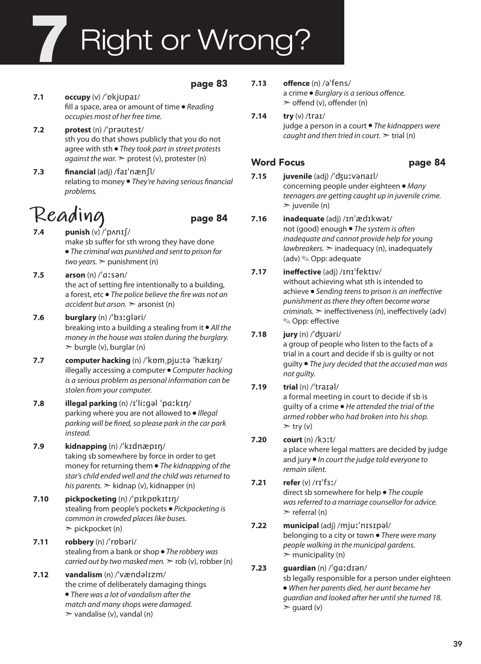# **Right or Wrong?**

#### page 83

- **7.1 occupy** (v) /ˈɒkjʊpaɪ/ fill a space, area or amount of time ● *Reading occupies most of her free time.*
- **7.2 protest** (n) /ˈprəʊtest/ sth you do that shows publicly that you do not agree with sth ● *They took part in street protests against the war.* ► protest (v), protester (n)
- **7.3 financial** (adj) /faɪˈnænʃl/ relating to money ● *They're having serious financial problems.*

## **Reading** page 84

- **7.4 punish**  $(v)$  / $'$   $p \wedge n \cdot 1$   $f$ make sb suffer for sth wrong they have done ● *The criminal was punished and sent to prison for two years.* ➣ punishment (n)
- **7.5 arson** (n) /ˈɑːsən/ the act of setting fire intentionally to a building, a forest, etc ● *The police believe the fire was not an accident but arson.* ➣ arsonist (n)
- **7.6 burglary** (n) /ˈbɜːgləri/ breaking into a building a stealing from it ● *All the money in the house was stolen during the burglary.*  $\geq$  burgle (v), burglar (n)
- **7.7 computer hacking** (n) /ˈkɒmˌpjuːtə ˈhækɪŋ/ illegally accessing a computer ● *Computer hacking is a serious problem as personal information can be stolen from your computer.*
- **7.8 illegal parking** (n) /ɪˈliːgəl ˈpɑːkɪŋ/ parking where you are not allowed to ● *Illegal parking will be fined, so please park in the car park instead.*
- **7.9 kidnapping** (n) /ˈkɪdnæpɪŋ/ taking sb somewhere by force in order to get money for returning them ● *The kidnapping of the star's child ended well and the child was returned to his parents.* ➣ kidnap (v), kidnapper (n)
- **7.10 pickpocketing** (n) /ˈpɪkpɒkɪtɪŋ/ stealing from people's pockets ● *Pickpocketing is common in crowded places like buses.*  $\triangleright$  pickpocket (n)
- **7.11 robbery** (n) /ˈrɒbəri/ stealing from a bank or shop ● *The robbery was carried out by two masked men.*  $>$  rob (v), robber (n)
- **7.12 vandalism** (n) /ˈvændəlɪzm/ the crime of deliberately damaging things ● *There was a lot of vandalism after the match and many shops were damaged.*  $\triangleright$  vandalise (v), vandal (n)
- **7.13 offence** (n) /əˈfens/ a crime ● *Burglary is a serious offence.*  $\ge$  offend (v), offender (n)
- **7.14 try** (v) /traɪ/ judge a person in a court ● *The kidnappers were caught and then tried in court.* ➣ trial (n)

### Word Focus **page 84**

- **7.15 juvenile** (adj) /ˈʤuːvənaɪl/ concerning people under eighteen ● *Many teenagers are getting caught up in juvenile crime.*  $\geq$ iuvenile (n)
- **7.16 inadequate** (adj) /ɪnˈædɪkwət/ not (good) enough ● *The system is often inadequate and cannot provide help for young lawbreakers.* ➣ inadequacy (n), inadequately (adv) ✎ Opp: adequate

#### **7.17 ineffective** (adj) /ɪnɪˈfektɪv/

without achieving what sth is intended to achieve ● *Sending teens to prison is an ineffective punishment as there they often become worse criminals.* ➣ ineffectiveness (n), ineffectively (adv) ✎ Opp: effective

#### **7.18 jury** (n) /ˈʤʊəri/

a group of people who listen to the facts of a trial in a court and decide if sb is guilty or not guilty ● *The jury decided that the accused man was not guilty.*

#### **7.19 trial** (n) /ˈtraɪəl/

a formal meeting in court to decide if sb is guilty of a crime ● *He attended the trial of the armed robber who had broken into his shop.*  $>$  try (v)

#### **7.20 court** (n) /kɔːt/

a place where legal matters are decided by judge and jury ● *In court the judge told everyone to remain silent.*

#### **7.21 refer** (v) /rɪˈfɜː/

direct sb somewhere for help ● *The couple was referred to a marriage counsellor for advice.*  $\triangleright$  referral (n)

#### **7.22 municipal** (adj) /mjuːˈnɪsɪpəl/ belonging to a city or town ● *There were many people walking in the municipal gardens.*  $\triangleright$  municipality (n)

### **7.23 guardian** (n) /ˈgɑːdɪən/

sb legally responsible for a person under eighteen ● *When her parents died, her aunt became her guardian and looked after her until she turned 18.*  $\ge$  guard (v)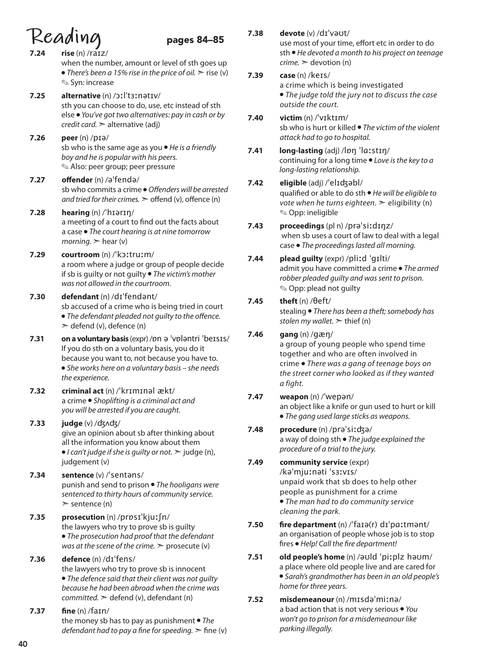- $\text{Realing}\atop{7.24 \text{ rise (n) /ratz/}}$  pages 84–85 **7.24 rise** (n) /raɪz/ when the number, amount or level of sth goes up ● *There's been a 15% rise in the price of oil.* > rise (v) ✎ Syn: increase **7.25 alternative** (n) /ɔːlˈtɜːnətɪv/ sth you can choose to do, use, etc instead of sth else ● *You've got two alternatives: pay in cash or by credit card.* ➣ alternative (adj) **7.26 peer** (n) /pɪə/ sb who is the same age as you ● *He is a friendly boy and he is popular with his peers.*  ✎ Also: peer group; peer pressure **7.27 offender** (n) /əˈfendə/ sb who commits a crime ● *Offenders will be arrested and tried for their crimes.*  $\geq$  offend (v), offence (n) **7.28 hearing** (n) /ˈhɪərɪŋ/ a meeting of a court to find out the facts about a case ● *The court hearing is at nine tomorrow morning.*  $\geq$  hear (v) **7.29 courtroom** (n) /ˈkɔːtruːm/ a room where a judge or group of people decide if sb is guilty or not guilty ● *The victim's mother was not allowed in the courtroom.*  **7.30 defendant** (n) /dɪˈfendənt/ sb accused of a crime who is being tried in court ● *The defendant pleaded not guilty to the offence.*  $\geq$  defend (v), defence (n) **7.31 on a voluntary basis** (expr) /ɒn ə ˈvɒləntri ˈbeɪsɪs/ If you do sth on a voluntary basis, you do it because you want to, not because you have to. ● *She works here on a voluntary basis – she needs the experience.*  **7.32 criminal act** (n) /ˈkrɪmɪnəl ækt/ a crime ● *Shoplifting is a criminal act and you will be arrested if you are caught.* **7.33 judge** (v) /ʤʌʤ/ give an opinion about sb after thinking about all the information you know about them ● *I can't judge if she is guilty or not.* ➣ judge (n), judgement (v) **7.34 sentence** (v) /ˈsentəns/ punish and send to prison ● *The hooligans were sentenced to thirty hours of community service.*  $\ge$  sentence (n) **7.35 prosecution** (n) /prɒsɪˈkjuːʃn/ the lawyers who try to prove sb is guilty ● *The prosecution had proof that the defendant was at the scene of the crime.*  $\ge$  prosecute (v) **7.36 defence** (n) /dɪˈfens/ the lawyers who try to prove sb is innocent ● *The defence said that their client was not guilty because he had been abroad when the crime was committed.* ➣ defend (v), defendant (n) **7.37 fine** (n) /faɪn/ the money sb has to pay as punishment ● *The defendant had to pay a fine for speeding.*  $\geq$  fine (v)
- **7.38 devote** (v) /dɪˈvəʊt/ use most of your time, effort etc in order to do sth ● *He devoted a month to his project on teenage*   $\textit{c$ *rime.*  $\geq$  devotion (n)
- **7.39 case** (n) /keɪs/ a crime which is being investigated ● *The judge told the jury not to discuss the case outside the court.*
- **7.40 victim** (n) /ˈvɪktɪm/ sb who is hurt or killed ● *The victim of the violent attack had to go to hospital.*
- **7.41 long-lasting** (adj) /lɒŋ ˈlɑːstɪŋ/ continuing for a long time ● *Love is the key to a long-lasting relationship.*

### **7.42 eligible** (adj) /ˈelɪʤəbl/

- qualified or able to do sth *He will be eligible to vote when he turns eighteen.*  $\geq$  eligibility (n) ✎ Opp: ineligible
- **7.43 proceedings** (pl n) /prəˈsiːdɪŋz/ when sb uses a court of law to deal with a legal case ● *The proceedings lasted all morning.*
- **7.44 plead guilty** (expr) /pliːd ˈgɪlti/ admit you have committed a crime ● *The armed robber pleaded guilty and was sent to prison.* ✎ Opp: plead not guilty
- **7.45 theft** (n) /θeft/ stealing ● *There has been a theft; somebody has stolen my wallet.* ➣ thief (n)

### **7.46 gang** (n) /gæŋ/

a group of young people who spend time together and who are often involved in crime ● *There was a gang of teenage boys on the street corner who looked as if they wanted a fight.*

- **7.47 weapon** (n) /ˈwepən/ an object like a knife or gun used to hurt or kill ● *The gang used large sticks as weapons.*
- **7.48 procedure** (n) /prəˈsiːʤə/ a way of doing sth ● *The judge explained the procedure of a trial to the jury.*

#### **7.49 community service** (expr) /kəˈmjuːnəti ˈsɜːvɪs/ unpaid work that sb does to help other

people as punishment for a crime ● *The man had to do community service cleaning the park.*

- **7.50 fire department** (n) /ˈfaɪə(r) dɪˈpɑːtmənt/ an organisation of people whose job is to stop fires ● *Help! Call the fire department!*
- **7.51 old people's home** (n) /əʊld ˈpiːplz həʊm/ a place where old people live and are cared for ● *Sarah's grandmother has been in an old people's home for three years.*
- **7.52 misdemeanour** (n) /mɪsdəˈmiːnə/ a bad action that is not very serious ● *You won't go to prison for a misdemeanour like parking illegally.*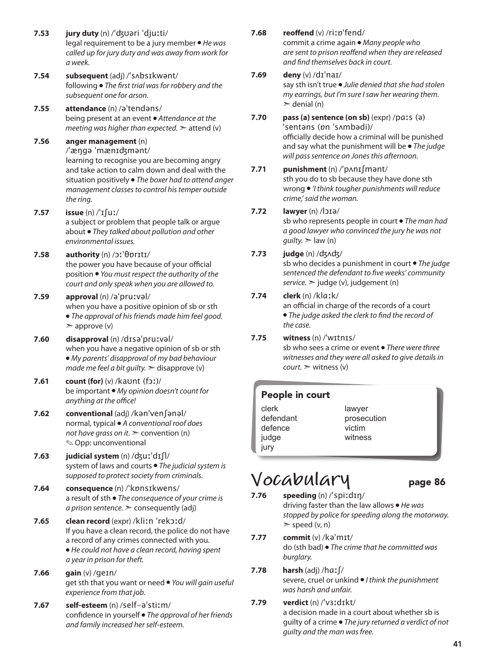- **7.53 jury duty** (n) /ˈʤʊəri ˈdjuːti/ legal requirement to be a jury member ● *He was called up for jury duty and was away from work for a week.*
- **7.54 subsequent** (adj) /ˈsʌbsɪkwənt/ following ● *The first trial was for robbery and the subsequent one for arson.*
- **7.55 attendance** (n) /əˈtendəns/ being present at an event ● *Attendance at the meeting was higher than expected.*  $\geq$  attend (v)
- **7.56 anger management** (n) /ˈæŋgə ˈmænɪʤmənt/ learning to recognise you are becoming angry and take action to calm down and deal with the situation positively ● *The boxer had to attend anger management classes to control his temper outside the ring.*
- **7.57 issue** (n) /ˈɪʃuː/ a subject or problem that people talk or argue about ● *They talked about pollution and other environmental issues.*
- **7.58 authority** (n) /ɔːˈθɒrɪtɪ/ the power you have because of your official position ● *You must respect the authority of the court and only speak when you are allowed to.*

#### **7.59 approval** (n) /əˈpruːvəl/ when you have a positive opinion of sb or sth ● *The approval of his friends made him feel good.*  $\geq$  approve (v)

- **7.60 disapproval** (n) /dɪsəˈpruːvəl/ when you have a negative opinion of sb or sth ● *My parents' disapproval of my bad behaviour made me feel a bit guilty.*  $\geq$  disapprove (v)
- **7.61 count (for)** (v) /kaʊnt (fɔː)/ be important ● *My opinion doesn't count for anything at the office!*
- **7.62 conventional** (adj) /kənˈvenʃənəl/ normal, typical ● *A conventional roof does not have grass on it.* > convention (n) ✎ Opp: unconventional
- **7.63 judicial system** (n) /ʤuːˈdɪʃl/ system of laws and courts ● *The judicial system is supposed to protect society from criminals.*
- **7.64 consequence** (n) /ˈkɒnsɪkwens/ a result of sth ● *The consequence of your crime is a prison sentence.* ➣ consequently (adj)
- **7.65 clean record** (expr) /kliːn ˈrekɔːd/ If you have a clean record, the police do not have a record of any crimes connected with you. ● *He could not have a clean record, having spent a year in prison for theft.*
- **7.66 gain** (v) /ɡeɪn/ get sth that you want or need ● *You will gain useful experience from that job.*
- **7.67 self-esteem** (n) /self-əˈstiːm/ confidence in yourself ● *The approval of her friends and family increased her self-esteem.*

#### **7.68 reoffend** (v) /riːɒˈfend/

commit a crime again ● *Many people who are sent to prison reoffend when they are released and find themselves back in court.*

#### **7.69 deny** (v) /dɪˈnaɪ/

say sth isn't true ● *Julie denied that she had stolen my earrings, but I'm sure I saw her wearing them.*  $\ge$  denial (n)

**7.70 pass (a) sentence (on sb)** (expr) /pɑːs (ə) ˈsentəns (ɒn ˈsʌmbədi)/ officially decide how a criminal will be punished

and say what the punishment will be ● *The judge will pass sentence on Jones this afternoon.*

#### **7.71 punishment** (n) /ˈpʌnɪʃmənt/

sth you do to sb because they have done sth wrong ● *'I think tougher punishments will reduce crime,' said the woman.* 

#### **7.72 lawyer** (n) /lɔɪə/

sb who represents people in court ● *The man had a good lawyer who convinced the jury he was not*   $g$ *uilty*.  $>$  law (n)

#### **7.73 judge** (n) /ʤʌʤ/

sb who decides a punishment in court ● *The judge sentenced the defendant to five weeks' community service.* ➣ judge (v), judgement (n)

#### **7.74 clerk** (n) /klɑːk/

an official in charge of the records of a court ● *The judge asked the clerk to find the record of the case.*

#### **7.75 witness** (n) /ˈwɪtnɪs/

sb who sees a crime or event ● *There were three witnesses and they were all asked to give details in court.* ➣ witness (v)

#### People in court

- clerk defendant defence judge jury
- lawyer prosecution victim witness

### **Vocabulary** page 86 **7.76 speeding** (n) /ˈspiːdɪŋ/

driving faster than the law allows ● *He was stopped by police for speeding along the motorway.*  $\ge$  speed (v, n)

**7.77 commit** (v) /kəˈmɪt/ do (sth bad) ● *The crime that he committed was burglary.*

#### **7.78 harsh** (adj) /hɑːʃ/ severe, cruel or unkind ● *I think the punishment was harsh and unfair.*

**7.79 verdict** (n) /ˈvɜːdɪkt/ a decision made in a court about whether sb is guilty of a crime ● *The jury returned a verdict of not guilty and the man was free.*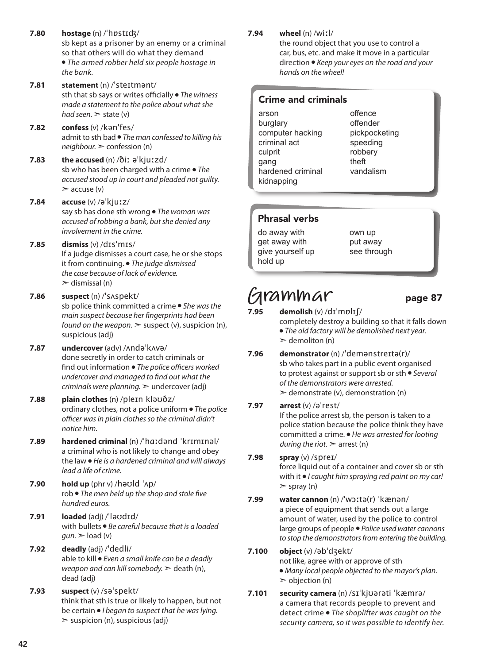**7.80 hostage** (n) /ˈhɒstɪʤ/ sb kept as a prisoner by an enemy or a criminal so that others will do what they demand ● *The armed robber held six people hostage in the bank.* **7.81 statement** (n) /ˈsteɪtmənt/ sth that sb says or writes officially ● *The witness made a statement to the police about what she had seen.* ➣ state (v) **7.82 confess** (v) /kənˈfes/ admit to sth bad ● *The man confessed to killing his neighbour.* ➣ confession (n) **7.83 the accused** (n) /ðiː əˈkjuːzd/ sb who has been charged with a crime ● *The accused stood up in court and pleaded not guilty.*   $\geq$  accuse (v) **7.84 accuse** (v) /əˈkjuːz/ say sb has done sth wrong ● *The woman was accused of robbing a bank, but she denied any involvement in the crime.* **7.85 dismiss** (v) /dɪsˈmɪs/ If a judge dismisses a court case, he or she stops it from continuing. ● *The judge dismissed the case because of lack of evidence.*  $\ge$  dismissal (n) **7.86 suspect** (n) /ˈsʌspekt/ sb police think committed a crime ● *She was the main suspect because her fingerprints had been found on the weapon.*  $\geq$  suspect (v), suspicion (n), suspicious (adj)

- **7.87 undercover** (adv) /ʌndəˈkʌvə/ done secretly in order to catch criminals or find out information ● *The police officers worked undercover and managed to find out what the criminals were planning.* ➣ undercover (adj)
- **7.88 plain clothes** (n) /pleɪn kləʊðz/ ordinary clothes, not a police uniform ● *The police officer was in plain clothes so the criminal didn't notice him.*
- **7.89 hardened criminal** (n) /ˈhɑːdənd ˈkrɪmɪnəl/ a criminal who is not likely to change and obey the law ● *He is a hardened criminal and will always lead a life of crime.*
- **7.90 hold up** (phr v) /həʊld ˈʌp/ rob ● *The men held up the shop and stole five hundred euros.*
- **7.91 loaded** (adj) /ˈləʊdɪd/ with bullets ● *Be careful because that is a loaded*   $gun.$   $\ge$  load (v)
- **7.92 deadly** (adj) /ˈdedli/ able to kill ● *Even a small knife can be a deadly weapon and can kill somebody.* ➣ death (n), dead (adj)
- **7.93 suspect** (v) /səˈspekt/ think that sth is true or likely to happen, but not be certain ● *I began to suspect that he was lying.*   $\geq$  suspicion (n), suspicious (adj)

**7.94 wheel** (n) /wiːl/

the round object that you use to control a car, bus, etc. and make it move in a particular direction ● *Keep your eyes on the road and your hands on the wheel!* 

#### Crime and criminals

arson burglary computer hacking criminal act culprit gang hardened criminal kidnapping

offence offender pickpocketing speeding robbery theft vandalism

#### Phrasal verbs

do away with get away with give yourself up hold up

own up put away see through

## **Grammar** page 87

- **7.95 demolish** (v) /dɪˈmɒlɪʃ/ completely destroy a building so that it falls down ● *The old factory will be demolished next year.*   $\ge$  demoliton (n)
- **7.96 demonstrator** (n) /ˈdemənstreɪtə(r)/ sb who takes part in a public event organised to protest against or support sb or sth ● *Several of the demonstrators were arrested.*   $\geq$  demonstrate (v), demonstration (n)

#### **7.97 arrest** (v) /əˈrest/

If the police arrest sb, the person is taken to a police station because the police think they have committed a crime. ● *He was arrested for looting during the riot.*  $\geq$  arrest (n)

- **7.98 spray** (v) /spreɪ/ force liquid out of a container and cover sb or sth with it ● *I caught him spraying red paint on my car!*   $>$  spray (n)
- **7.99 water cannon** (n) /ˈwɔːtə(r) ˈkænən/ a piece of equipment that sends out a large amount of water, used by the police to control large groups of people ● *Police used water cannons to stop the demonstrators from entering the building.*
- **7.100 object** (v) /əbˈdʒekt/ not like, agree with or approve of sth ● *Many local people objected to the mayor's plan.*   $\geq$  objection (n)
- **7.101 security camera** (n) /sɪˈkjʊərəti ˈkæmrə/ a camera that records people to prevent and detect crime ● *The shoplifter was caught on the security camera, so it was possible to identify her.*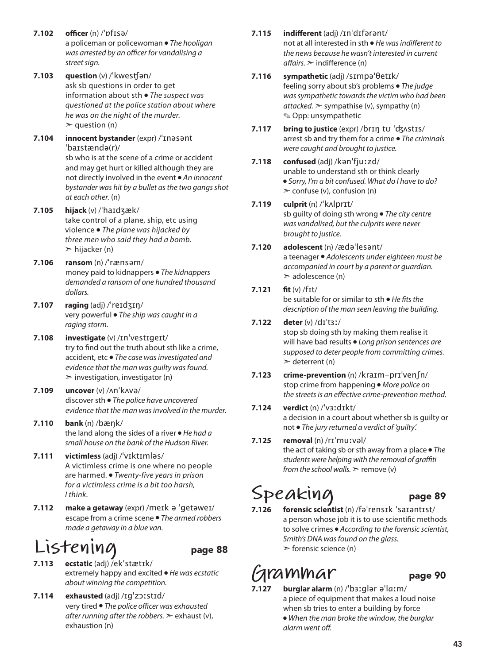- **7.102 officer** (n) /ˈɒfɪsə/ a policeman or policewoman ● *The hooligan was arrested by an officer for vandalising a*  street sign.
- **7.103 question** (v) /ˈkwesʧən/ ask sb questions in order to get information about sth ● *The suspect was questioned at the police station about where he was on the night of the murder.*   $\ge$  question (n)
- **7.104 innocent bystander** (expr) /ˈɪnəsənt ˈbaɪstændə(r)/ sb who is at the scene of a crime or accident and may get hurt or killed although they are not directly involved in the event ● *An innocent bystander was hit by a bullet as the two gangs shot at each other.* (n)
- **7.105 hijack** (v) /ˈhaɪdʒæk/ take control of a plane, ship, etc using violence ● *The plane was hijacked by three men who said they had a bomb.*   $\triangleright$  hijacker (n)
- **7.106 ransom** (n) /ˈrænsəm/ money paid to kidnappers ● *The kidnappers demanded a ransom of one hundred thousand dollars.*
- **7.107 raging** (adj) /ˈreɪdʒɪŋ/ very powerful ● *The ship was caught in a raging storm.*
- **7.108 investigate** (v) /ɪnˈvestɪgeɪt/ try to find out the truth about sth like a crime, accident, etc ● *The case was investigated and evidence that the man was guilty was found.*  $\geq$  investigation, investigator (n)
- **7.109 uncover** (v) /ʌnˈkʌvə/ discover sth ● *The police have uncovered evidence that the man was involved in the murder.*
- **7.110 bank** (n) /bæŋk/ the land along the sides of a river ● *He had a small house on the bank of the Hudson River.*
- **7.111 victimless** (adj) /ˈvɪktɪmləs/ A victimless crime is one where no people are harmed. ● *Twenty-five years in prison for a victimless crime is a bit too harsh, I think.*
- **7.112 make a getaway** (expr) /meɪk ə ˈgetəweɪ/ escape from a crime scene ● *The armed robbers made a getaway in a blue van.*

## **Listening** page 88

- **7.113 ecstatic** (adj) /ekˈstætɪk/ extremely happy and excited ● *He was ecstatic about winning the competition.*
- **7.114 exhausted** (adj) /ɪgˈzɔːstɪd/ very tired ● *The police officer was exhausted after running after the robbers.* ➣ exhaust (v), exhaustion (n)

#### **7.115 indifferent** (adj) /ɪnˈdɪfərənt/

not at all interested in sth ● *He was indifferent to the news because he wasn't interested in current affairs.* ➣ indifference (n)

- **7.116 sympathetic** (adj) /sɪmpəˈθetɪk/ feeling sorry about sb's problems ● *The judge was sympathetic towards the victim who had been attacked.*  $>$  sympathise (v), sympathy (n) ✎ Opp: unsympathetic
- **7.117 bring to justice** (expr) /brɪŋ tʊ ˈʤʌstɪs/ arrest sb and try them for a crime ● *The criminals were caught and brought to justice.*
- **7.118 confused** (adj) /kənˈfjuːzd/ unable to understand sth or think clearly ● *Sorry, I'm a bit confused. What do I have to do?*   $\ge$  confuse (v), confusion (n)
- **7.119 culprit** (n) /ˈkʌlprɪt/ sb guilty of doing sth wrong ● *The city centre was vandalised, but the culprits were never brought to justice.*
- **7.120 adolescent** (n) /ædəˈlesənt/ a teenager ● *Adolescents under eighteen must be accompanied in court by a parent or guardian.*   $\geq$  adolescence (n)
- **7.121 fit** (v) /fɪt/ be suitable for or similar to sth ● *He fitsthe description of the man seen leaving the building.*
- **7.122 deter** (v) /dɪˈtɜː/ stop sb doing sth by making them realise it will have bad results ● *Long prison sentences are supposed to deter people from committing crimes.*   $\ge$  deterrent (n)
- **7.123 crime-prevention** (n) /kraɪm-prɪˈvenʃn/ stop crime from happening ● *More police on the streets is an effective crime-prevention method.*
- **7.124 verdict** (n) /ˈvɜːdɪkt/ a decision in a court about whether sb is guilty or not ● *The jury returned a verdict of 'guilty'.*
- **7.125 removal** (n) /rɪˈmuːvəl/ the act of taking sb or sth away from a place ● *The students were helping with the removal of graffiti from the school walls.* ➣ remove (v)

## Speaking page 89

**7.126 forensic scientist** (n) /fəˈrensɪk ˈsaɪəntɪst/ a person whose job it is to use scientific methods to solve crimes ● *According to the forensic scientist, Smith's DNA was found on the glass.*   $\triangleright$  forensic science (n)

## **Grammar** page 90

- - **7.127 burglar alarm** (n) /ˈbɜːɡlər əˈlɑːm/ a piece of equipment that makes a loud noise when sb tries to enter a building by force ● *When the man broke the window, the burglar alarm went off.*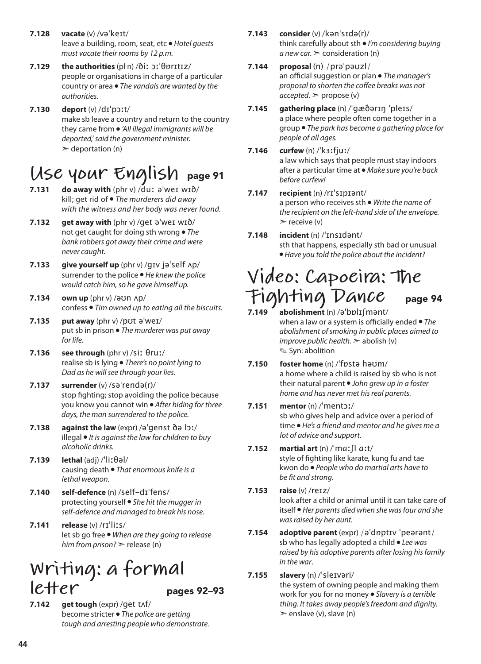- **7.128 vacate** (v) /vəˈkeɪt/ leave a building, room, seat, etc ● *Hotel guests must vacate their rooms by 12 p.m.*
- **7.129 the authorities** (pl n) /ðiː ɔːˈθɒrɪtɪz/ people or organisations in charge of a particular country or area ● *The vandals are wanted by the authorities.*
- **7.130 deport** (v) /dɪˈpɔːt/ make sb leave a country and return to the country they came from ● *'All illegal immigrants will be deported,' said the government minister.*  $\geq$  deportation (n)

### **Use your English** page 91

- **7.131 do away with** (phr v) /duː əˈweɪ wɪð/ kill; get rid of ● *The murderers did away with the witness and her body was never found.*
- **7.132 get away with** (phr v) /get əˈweɪ wɪð/ not get caught for doing sth wrong ● *The bank robbers got away their crime and were never caught.*
- **7.133 give yourself up** (phr v) /gɪv jəˈself ʌp/ surrender to the police ● *He knew the police would catch him, so he gave himself up.*
- **7.134 own up** (phr v) /əʊn ʌp/ confess ● *Tim owned up to eating all the biscuits.*
- **7.135 put away** (phr v) /pʊt əˈweɪ/ put sb in prison ● *The murderer was put away for life.*
- **7.136 see through** (phr v) /siː θruː/ realise sb is lying ● *There's no point lying to Dad as he will see through your lies.*
- **7.137 surrender** (v) /səˈrendə(r)/ stop fighting; stop avoiding the police because you know you cannot win ● *After hiding for three days, the man surrendered to the police.*
- **7.138 against the law** (expr) /əˈgenst ðə lɔː/ illegal ● *It is against the law for children to buy alcoholic drinks.*
- **7.139 lethal** (adj) /ˈliːθəl/ causing death ● *That enormous knife is a lethal weapon.*
- **7.140 self-defence** (n) /self-dɪˈfens/ protecting yourself ● *She hit the mugger in self-defence and managed to break his nose.*
- **7.141 release** (v) /rɪˈliːs/ let sb go free ● *When are they going to release him from prison?* ➣ release (n)

### **Writing: a formal**   $lefter$  pages 92–93

**7.142 get tough** (expr) /get tʌf/ become stricter ● *The police are getting tough and arresting people who demonstrate.* 

- **7.143 consider** (v) /kənˈsɪdə(r)/ think carefully about sth ● *I'm considering buying*   $a$  *new car.*  $\ge$  consideration (n)
- **7.144 proposal** (n) /prəˈpəʊzl/ an official suggestion or plan ● *The manager's proposal to shorten the coffee breaks was not accepted*. ➣ propose (v)
- **7.145 gathering place** (n) /ˈɡæðərɪŋ ˈpleɪs/ a place where people often come together in a group ● *The park has become a gathering place for people of all ages.*
- **7.146 curfew** (n) /ˈkɜːfjuː/ a law which says that people must stay indoors after a particular time at ● *Make sure you're back before curfew!*

#### **7.147 recipient** (n) /rɪˈsɪpɪənt/ a person who receives sth ● *Write the name of the recipient on the left-hand side of the envelope.*   $\triangleright$  receive (v)

**7.148 incident** (n) /ˈɪnsɪdənt/ sth that happens, especially sth bad or unusual ● *Have you told the police about the incident?* 

## **Video: Capoeira: The Fighting Dance** page 94

- **7.149 abolishment** (n) /əˈbɒlɪʃmənt/ when a law or a system is officially ended ● *The abolishment of smoking in public places aimed to improve public health.*  $\geq$  abolish (v) ✎ Syn: abolition
- **7.150 foster home** (n) /ˈfɒstə həʊm/ a home where a child is raised by sb who is not their natural parent ● *John grew up in a foster home and has never met his real parents.*

#### **7.151 mentor** (n) /ˈmentɔː/ sb who gives help and advice over a period of time ● *He's a friend and mentor and he gives me a lot of advice and support.*

#### **7.152 martial art** (n) /ˈmɑːʃl ɑːt/ style of fighting like karate, kung fu and tae

kwon do ● *People who do martial arts have to be fit and strong*.

#### **7.153 raise** (v) /reɪz/

look after a child or animal until it can take care of itself ● *Her parents died when she was four and she was raised by her aunt.* 

**7.154 adoptive parent** (expr) /əˈdɒptɪv ˈpeərənt/ sb who has legally adopted a child ● *Lee was raised by his adoptive parents after losing his family in the war*.

### **7.155 slavery** (n) /ˈsleɪvəri/

the system of owning people and making them work for you for no money ● *Slavery is a terrible thing. It takes away people's freedom and dignity.*  $\ge$  enslave (v), slave (n)